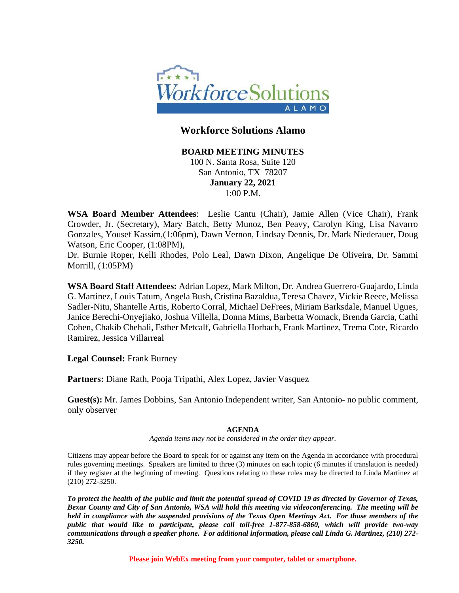

# **Workforce Solutions Alamo**

**BOARD MEETING MINUTES** 100 N. Santa Rosa, Suite 120 San Antonio, TX 78207 **January 22, 2021** 1:00 P.M.

**WSA Board Member Attendees**: Leslie Cantu (Chair), Jamie Allen (Vice Chair), Frank Crowder, Jr. (Secretary), Mary Batch, Betty Munoz, Ben Peavy, Carolyn King, Lisa Navarro Gonzales, Yousef Kassim,(1:06pm), Dawn Vernon, Lindsay Dennis, Dr. Mark Niederauer, Doug Watson, Eric Cooper, (1:08PM),

Dr. Burnie Roper, Kelli Rhodes, Polo Leal, Dawn Dixon, Angelique De Oliveira, Dr. Sammi Morrill, (1:05PM)

**WSA Board Staff Attendees:** Adrian Lopez, Mark Milton, Dr. Andrea Guerrero-Guajardo, Linda G. Martinez, Louis Tatum, Angela Bush, Cristina Bazaldua, Teresa Chavez, Vickie Reece, Melissa Sadler-Nitu, Shantelle Artis, Roberto Corral, Michael DeFrees, Miriam Barksdale, Manuel Ugues, Janice Berechi-Onyejiako, Joshua Villella, Donna Mims, Barbetta Womack, Brenda Garcia, Cathi Cohen, Chakib Chehali, Esther Metcalf, Gabriella Horbach, Frank Martinez, Trema Cote, Ricardo Ramirez, Jessica Villarreal

**Legal Counsel:** Frank Burney

**Partners:** Diane Rath, Pooja Tripathi, Alex Lopez, Javier Vasquez

**Guest(s):** Mr. James Dobbins, San Antonio Independent writer, San Antonio- no public comment, only observer

### **AGENDA**

*Agenda items may not be considered in the order they appear.*

Citizens may appear before the Board to speak for or against any item on the Agenda in accordance with procedural rules governing meetings. Speakers are limited to three (3) minutes on each topic (6 minutes if translation is needed) if they register at the beginning of meeting. Questions relating to these rules may be directed to Linda Martinez at (210) 272-3250.

*To protect the health of the public and limit the potential spread of COVID 19 as directed by Governor of Texas, Bexar County and City of San Antonio, WSA will hold this meeting via videoconferencing. The meeting will be held in compliance with the suspended provisions of the Texas Open Meetings Act. For those members of the public that would like to participate, please call toll-free 1-877-858-6860, which will provide two-way communications through a speaker phone. For additional information, please call Linda G. Martinez, (210) 272- 3250.* 

**Please join WebEx meeting from your computer, tablet or smartphone.**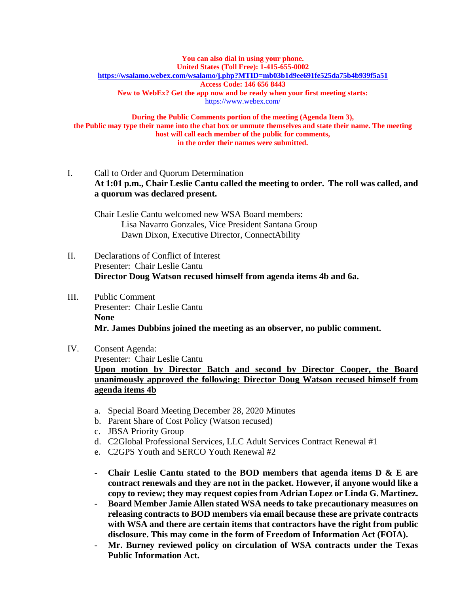#### **You can also dial in using your phone. United States (Toll Free): 1-415-655-0002 <https://wsalamo.webex.com/wsalamo/j.php?MTID=mb03b1d9ee691fe525da75b4b939f5a51> Access Code: 146 656 8443 New to WebEx? Get the app now and be ready when your first meeting starts:**  <https://www.webex.com/>

**During the Public Comments portion of the meeting (Agenda Item 3), the Public may type their name into the chat box or unmute themselves and state their name. The meeting host will call each member of the public for comments, in the order their names were submitted.**

I. Call to Order and Quorum Determination **At 1:01 p.m., Chair Leslie Cantu called the meeting to order. The roll was called, and a quorum was declared present.** 

Chair Leslie Cantu welcomed new WSA Board members: Lisa Navarro Gonzales, Vice President Santana Group Dawn Dixon, Executive Director, ConnectAbility

- II. Declarations of Conflict of Interest Presenter: Chair Leslie Cantu **Director Doug Watson recused himself from agenda items 4b and 6a.**
- III. Public Comment Presenter: Chair Leslie Cantu **None Mr. James Dubbins joined the meeting as an observer, no public comment.**

### IV. Consent Agenda:

Presenter: Chair Leslie Cantu

**Upon motion by Director Batch and second by Director Cooper, the Board unanimously approved the following: Director Doug Watson recused himself from agenda items 4b**

- a. Special Board Meeting December 28, 2020 Minutes
- b. Parent Share of Cost Policy (Watson recused)
- c. JBSA Priority Group
- d. C2Global Professional Services, LLC Adult Services Contract Renewal #1
- e. C2GPS Youth and SERCO Youth Renewal #2
- **Chair Leslie Cantu stated to the BOD members that agenda items D & E are contract renewals and they are not in the packet. However, if anyone would like a copy to review; they may request copies from Adrian Lopez or Linda G. Martinez.**
- **Board Member Jamie Allen stated WSA needs to take precautionary measures on releasing contracts to BOD members via email because these are private contracts with WSA and there are certain items that contractors have the right from public disclosure. This may come in the form of Freedom of Information Act (FOIA).**
- **Mr. Burney reviewed policy on circulation of WSA contracts under the Texas Public Information Act.**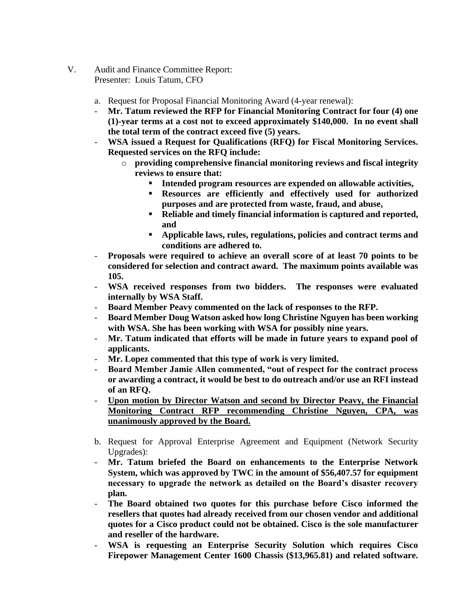- V. Audit and Finance Committee Report: Presenter: Louis Tatum, CFO
	- a. Request for Proposal Financial Monitoring Award (4-year renewal):
	- **Mr. Tatum reviewed the RFP for Financial Monitoring Contract for four (4) one (1)-year terms at a cost not to exceed approximately \$140,000. In no event shall the total term of the contract exceed five (5) years.**
	- **WSA issued a Request for Qualifications (RFQ) for Fiscal Monitoring Services. Requested services on the RFQ include:**
		- o **providing comprehensive financial monitoring reviews and fiscal integrity reviews to ensure that:**
			- **Intended program resources are expended on allowable activities,**
			- **Resources are efficiently and effectively used for authorized purposes and are protected from waste, fraud, and abuse,**
			- **Reliable and timely financial information is captured and reported, and**
			- **Applicable laws, rules, regulations, policies and contract terms and conditions are adhered to.**
	- **Proposals were required to achieve an overall score of at least 70 points to be considered for selection and contract award. The maximum points available was 105.**
	- **WSA received responses from two bidders. The responses were evaluated internally by WSA Staff.**
	- **Board Member Peavy commented on the lack of responses to the RFP.**
	- **Board Member Doug Watson asked how long Christine Nguyen has been working with WSA. She has been working with WSA for possibly nine years.**
	- Mr. Tatum indicated that efforts will be made in future years to expand pool of **applicants.**
	- **Mr. Lopez commented that this type of work is very limited.**
	- **Board Member Jamie Allen commented, "out of respect for the contract process or awarding a contract, it would be best to do outreach and/or use an RFI instead of an RFQ.**
	- **Upon motion by Director Watson and second by Director Peavy, the Financial Monitoring Contract RFP recommending Christine Nguyen, CPA, was unanimously approved by the Board.**
	- b. Request for Approval Enterprise Agreement and Equipment (Network Security Upgrades):
	- **Mr. Tatum briefed the Board on enhancements to the Enterprise Network System, which was approved by TWC in the amount of \$56,407.57 for equipment necessary to upgrade the network as detailed on the Board's disaster recovery plan.**
	- **The Board obtained two quotes for this purchase before Cisco informed the resellers that quotes had already received from our chosen vendor and additional quotes for a Cisco product could not be obtained. Cisco is the sole manufacturer and reseller of the hardware.**
	- **WSA is requesting an Enterprise Security Solution which requires Cisco Firepower Management Center 1600 Chassis (\$13,965.81) and related software.**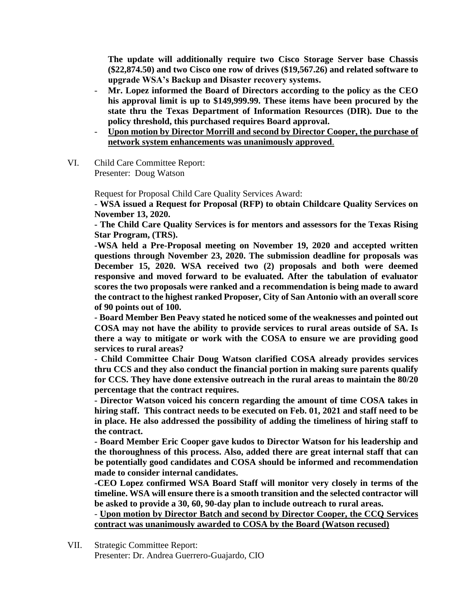**The update will additionally require two Cisco Storage Server base Chassis (\$22,874.50) and two Cisco one row of drives (\$19,567.26) and related software to upgrade WSA's Backup and Disaster recovery systems.**

- **Mr. Lopez informed the Board of Directors according to the policy as the CEO his approval limit is up to \$149,999.99. These items have been procured by the state thru the Texas Department of Information Resources (DIR). Due to the policy threshold, this purchased requires Board approval.**
- **Upon motion by Director Morrill and second by Director Cooper, the purchase of network system enhancements was unanimously approved**.
- VI. Child Care Committee Report: Presenter: Doug Watson

Request for Proposal Child Care Quality Services Award:

- **WSA issued a Request for Proposal (RFP) to obtain Childcare Quality Services on November 13, 2020.** 

**- The Child Care Quality Services is for mentors and assessors for the Texas Rising Star Program, (TRS).** 

**-WSA held a Pre-Proposal meeting on November 19, 2020 and accepted written questions through November 23, 2020. The submission deadline for proposals was December 15, 2020. WSA received two (2) proposals and both were deemed responsive and moved forward to be evaluated. After the tabulation of evaluator scores the two proposals were ranked and a recommendation is being made to award the contract to the highest ranked Proposer, City of San Antonio with an overall score of 90 points out of 100.**

**- Board Member Ben Peavy stated he noticed some of the weaknesses and pointed out COSA may not have the ability to provide services to rural areas outside of SA. Is there a way to mitigate or work with the COSA to ensure we are providing good services to rural areas?**

**- Child Committee Chair Doug Watson clarified COSA already provides services thru CCS and they also conduct the financial portion in making sure parents qualify for CCS. They have done extensive outreach in the rural areas to maintain the 80/20 percentage that the contract requires.** 

**- Director Watson voiced his concern regarding the amount of time COSA takes in hiring staff. This contract needs to be executed on Feb. 01, 2021 and staff need to be in place. He also addressed the possibility of adding the timeliness of hiring staff to the contract.** 

**- Board Member Eric Cooper gave kudos to Director Watson for his leadership and the thoroughness of this process. Also, added there are great internal staff that can be potentially good candidates and COSA should be informed and recommendation made to consider internal candidates.** 

**-CEO Lopez confirmed WSA Board Staff will monitor very closely in terms of the timeline. WSA will ensure there is a smooth transition and the selected contractor will be asked to provide a 30, 60, 90-day plan to include outreach to rural areas.** 

- **Upon motion by Director Batch and second by Director Cooper, the CCQ Services contract was unanimously awarded to COSA by the Board (Watson recused)**

VII. Strategic Committee Report: Presenter: Dr. Andrea Guerrero-Guajardo, CIO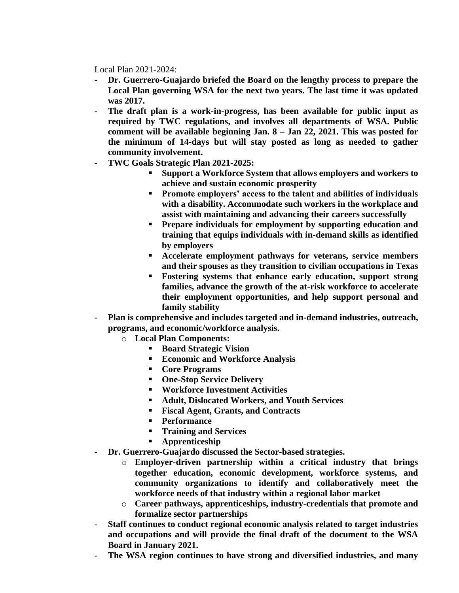Local Plan 2021-2024:

- **Dr. Guerrero-Guajardo briefed the Board on the lengthy process to prepare the Local Plan governing WSA for the next two years. The last time it was updated was 2017.**
- **The draft plan is a work-in-progress, has been available for public input as required by TWC regulations, and involves all departments of WSA. Public comment will be available beginning Jan. 8 – Jan 22, 2021. This was posted for the minimum of 14-days but will stay posted as long as needed to gather community involvement.**
- **TWC Goals Strategic Plan 2021-2025:**
	- **Support a Workforce System that allows employers and workers to achieve and sustain economic prosperity**
	- **Promote employers' access to the talent and abilities of individuals with a disability. Accommodate such workers in the workplace and assist with maintaining and advancing their careers successfully**
	- **Prepare individuals for employment by supporting education and training that equips individuals with in-demand skills as identified by employers**
	- **Accelerate employment pathways for veterans, service members and their spouses as they transition to civilian occupations in Texas**
	- **Fostering systems that enhance early education, support strong families, advance the growth of the at-risk workforce to accelerate their employment opportunities, and help support personal and family stability**
- **Plan is comprehensive and includes targeted and in-demand industries, outreach, programs, and economic/workforce analysis.** 
	- o **Local Plan Components:**
		- **Board Strategic Vision**
		- **Economic and Workforce Analysis**
		- **Core Programs**
		- **One-Stop Service Delivery**
		- **Workforce Investment Activities**
		- **Adult, Dislocated Workers, and Youth Services**
		- **Fiscal Agent, Grants, and Contracts**
		- **Performance**
		- **Training and Services**
		- **Apprenticeship**
- **Dr. Guerrero-Guajardo discussed the Sector-based strategies.** 
	- o **Employer-driven partnership within a critical industry that brings together education, economic development, workforce systems, and community organizations to identify and collaboratively meet the workforce needs of that industry within a regional labor market**
	- o **Career pathways, apprenticeships, industry-credentials that promote and formalize sector partnerships**
- **Staff continues to conduct regional economic analysis related to target industries and occupations and will provide the final draft of the document to the WSA Board in January 2021.**
- **The WSA region continues to have strong and diversified industries, and many**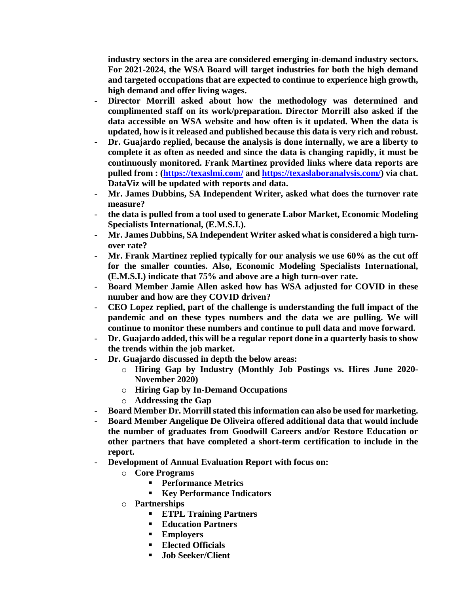**industry sectors in the area are considered emerging in-demand industry sectors. For 2021-2024, the WSA Board will target industries for both the high demand and targeted occupations that are expected to continue to experience high growth, high demand and offer living wages.** 

- **Director Morrill asked about how the methodology was determined and complimented staff on its work/preparation. Director Morrill also asked if the data accessible on WSA website and how often is it updated. When the data is updated, how is it released and published because this data is very rich and robust.**
- **Dr. Guajardo replied, because the analysis is done internally, we are a liberty to complete it as often as needed and since the data is changing rapidly, it must be continuously monitored. Frank Martinez provided links where data reports are pulled from : [\(https://texaslmi.com/](https://texaslmi.com/) and [https://texaslaboranalysis.com/\)](https://texaslaboranalysis.com/) via chat. DataViz will be updated with reports and data.**
- **Mr. James Dubbins, SA Independent Writer, asked what does the turnover rate measure?**
- **the data is pulled from a tool used to generate Labor Market, Economic Modeling Specialists International, (E.M.S.I.).**
- **Mr. James Dubbins, SA Independent Writer asked what is considered a high turnover rate?**
- **Mr. Frank Martinez replied typically for our analysis we use 60% as the cut off for the smaller counties. Also, Economic Modeling Specialists International, (E.M.S.I.) indicate that 75% and above are a high turn-over rate.**
- **Board Member Jamie Allen asked how has WSA adjusted for COVID in these number and how are they COVID driven?**
- **CEO Lopez replied, part of the challenge is understanding the full impact of the pandemic and on these types numbers and the data we are pulling. We will continue to monitor these numbers and continue to pull data and move forward.**
- **Dr. Guajardo added, this will be a regular report done in a quarterly basis to show the trends within the job market.**
- **Dr. Guajardo discussed in depth the below areas:**
	- o **Hiring Gap by Industry (Monthly Job Postings vs. Hires June 2020- November 2020)**
	- o **Hiring Gap by In-Demand Occupations**
	- o **Addressing the Gap**
- **Board Member Dr. Morrill stated this information can also be used for marketing.**
- **Board Member Angelique De Oliveira offered additional data that would include the number of graduates from Goodwill Careers and/or Restore Education or other partners that have completed a short-term certification to include in the report.**
- **Development of Annual Evaluation Report with focus on:**
	- o **Core Programs**
		- **Performance Metrics**
		- **Key Performance Indicators**
	- o **Partnerships**
		- **ETPL Training Partners**
		- **Education Partners**
		- **Employers**
		- **Elected Officials**
		- **Job Seeker/Client**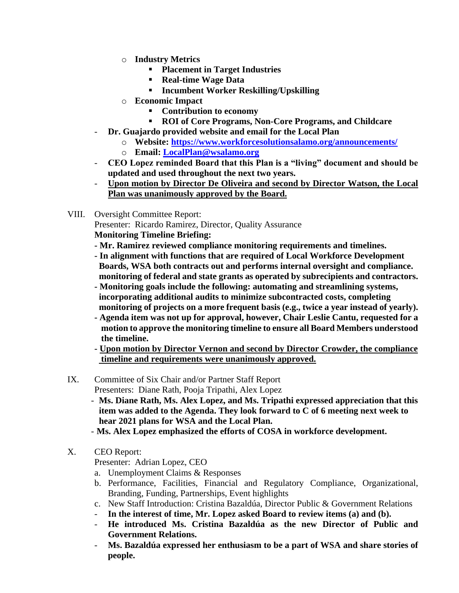- o **Industry Metrics**
	- **Placement in Target Industries**
	- **Real-time Wage Data**
	- **Incumbent Worker Reskilling/Upskilling**
- o **Economic Impact**
	- **Contribution to economy**
	- **ROI of Core Programs, Non-Core Programs, and Childcare**
- **Dr. Guajardo provided website and email for the Local Plan**
	- o **Website:<https://www.workforcesolutionsalamo.org/announcements/>**
	- o **Email: [LocalPlan@wsalamo.org](mailto:LocalPlan@wsalamo.org)**
- **CEO Lopez reminded Board that this Plan is a "living" document and should be updated and used throughout the next two years.**
- **Upon motion by Director De Oliveira and second by Director Watson, the Local Plan was unanimously approved by the Board.**
- VIII. Oversight Committee Report:

Presenter: Ricardo Ramirez, Director, Quality Assurance

**Monitoring Timeline Briefing:** 

- **- Mr. Ramirez reviewed compliance monitoring requirements and timelines.**
- **- In alignment with functions that are required of Local Workforce Development Boards, WSA both contracts out and performs internal oversight and compliance. monitoring of federal and state grants as operated by subrecipients and contractors.**
- **- Monitoring goals include the following: automating and streamlining systems, incorporating additional audits to minimize subcontracted costs, completing monitoring of projects on a more frequent basis (e.g., twice a year instead of yearly).**
- **- Agenda item was not up for approval, however, Chair Leslie Cantu, requested for a motion to approve the monitoring timeline to ensure all Board Members understood the timeline.**
- **- Upon motion by Director Vernon and second by Director Crowder, the compliance timeline and requirements were unanimously approved.**

## IX. Committee of Six Chair and/or Partner Staff Report Presenters: Diane Rath, Pooja Tripathi, Alex Lopez

- - **Ms. Diane Rath, Ms. Alex Lopez, and Ms. Tripathi expressed appreciation that this item was added to the Agenda. They look forward to C of 6 meeting next week to hear 2021 plans for WSA and the Local Plan.**
- **Ms. Alex Lopez emphasized the efforts of COSA in workforce development.**
- X. CEO Report:

Presenter: Adrian Lopez, CEO

- a. Unemployment Claims & Responses
- b. Performance, Facilities, Financial and Regulatory Compliance, Organizational, Branding, Funding, Partnerships, Event highlights
- c. New Staff Introduction: Cristina Bazaldúa, Director Public & Government Relations
- **In the interest of time, Mr. Lopez asked Board to review items (a) and (b).**
- **He introduced Ms. Cristina Bazaldúa as the new Director of Public and Government Relations.**
- **Ms. Bazaldúa expressed her enthusiasm to be a part of WSA and share stories of people.**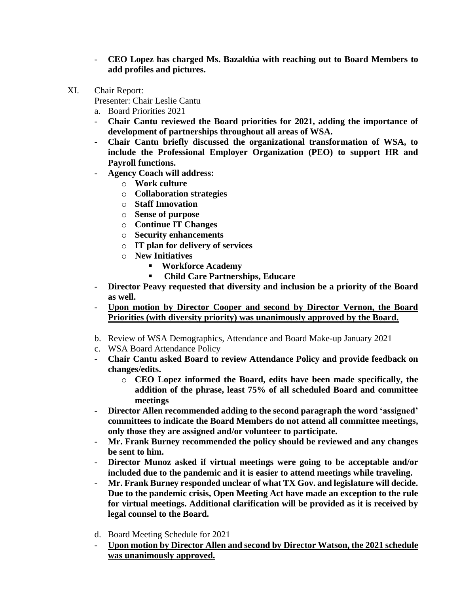- **CEO Lopez has charged Ms. Bazaldúa with reaching out to Board Members to add profiles and pictures.**
- XI. Chair Report:

Presenter: Chair Leslie Cantu

- a. Board Priorities 2021
- **Chair Cantu reviewed the Board priorities for 2021, adding the importance of development of partnerships throughout all areas of WSA.**
- **Chair Cantu briefly discussed the organizational transformation of WSA, to include the Professional Employer Organization (PEO) to support HR and Payroll functions.**
- **Agency Coach will address:**
	- o **Work culture**
	- o **Collaboration strategies**
	- o **Staff Innovation**
	- o **Sense of purpose**
	- o **Continue IT Changes**
	- o **Security enhancements**
	- o **IT plan for delivery of services**
	- o **New Initiatives** 
		- **Workforce Academy**
		- **Child Care Partnerships, Educare**
- **Director Peavy requested that diversity and inclusion be a priority of the Board as well.**
- **Upon motion by Director Cooper and second by Director Vernon, the Board Priorities (with diversity priority) was unanimously approved by the Board.**
- b. Review of WSA Demographics, Attendance and Board Make-up January 2021
- c. WSA Board Attendance Policy
- **Chair Cantu asked Board to review Attendance Policy and provide feedback on changes/edits.** 
	- o **CEO Lopez informed the Board, edits have been made specifically, the addition of the phrase, least 75% of all scheduled Board and committee meetings**
- **Director Allen recommended adding to the second paragraph the word 'assigned' committees to indicate the Board Members do not attend all committee meetings, only those they are assigned and/or volunteer to participate.**
- **Mr. Frank Burney recommended the policy should be reviewed and any changes be sent to him.**
- **Director Munoz asked if virtual meetings were going to be acceptable and/or included due to the pandemic and it is easier to attend meetings while traveling.**
- **Mr. Frank Burney responded unclear of what TX Gov. and legislature will decide. Due to the pandemic crisis, Open Meeting Act have made an exception to the rule for virtual meetings. Additional clarification will be provided as it is received by legal counsel to the Board.**
- d. Board Meeting Schedule for 2021
- **Upon motion by Director Allen and second by Director Watson, the 2021 schedule was unanimously approved.**